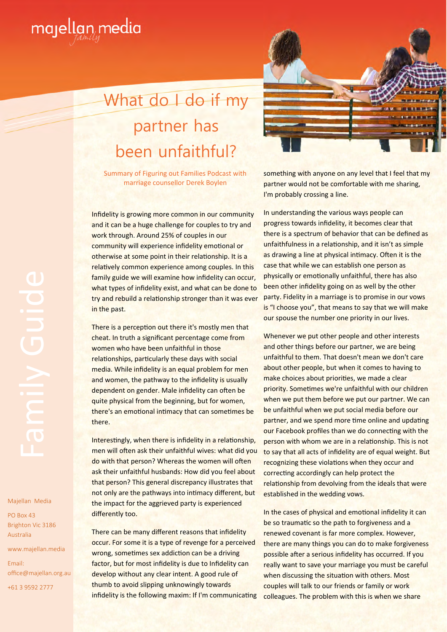

## What do I do if my partner has been unfaithful?

Summary of Figuring out Families Podcast with marriage counsellor Derek Boylen

Infidelity is growing more common in our community and it can be a huge challenge for couples to try and work through. Around 25% of couples in our community will experience infidelity emotional or otherwise at some point in their relationship. It is a relatively common experience among couples. In this family guide we will examine how infidelity can occur, what types of infidelity exist, and what can be done to try and rebuild a relationship stronger than it was ever in the past.

There is a perception out there it's mostly men that cheat. In truth a significant percentage come from women who have been unfaithful in those relationships, particularly these days with social media. While infidelity is an equal problem for men and women, the pathway to the infidelity is usually dependent on gender. Male infidelity can often be quite physical from the beginning, but for women, there's an emotional intimacy that can sometimes be there.

Interestingly, when there is infidelity in a relationship. men will often ask their unfaithful wives: what did you do with that person? Whereas the women will often ask their unfaithful husbands: How did you feel about that person? This general discrepancy illustrates that not only are the pathways into intimacy different, but the impact for the aggrieved party is experienced differently too.

There can be many different reasons that infidelity occur. For some it is a type of revenge for a perceived wrong, sometimes sex addiction can be a driving factor, but for most infidelity is due to Infidelity can develop without any clear intent. A good rule of thumb to avoid slipping unknowingly towards infidelity is the following maxim: If I'm communicating



something with anyone on any level that I feel that my partner would not be comfortable with me sharing, I'm probably crossing a line.

In understanding the various ways people can progress towards infidelity, it becomes clear that there is a spectrum of behavior that can be defined as unfaithfulness in a relationship, and it isn't as simple as drawing a line at physical intimacy. Often it is the case that while we can establish one person as physically or emotionally unfaithful, there has also been other infidelity going on as well by the other party. Fidelity in a marriage is to promise in our vows is "I choose you", that means to say that we will make our spouse the number one priority in our lives.

Whenever we put other people and other interests and other things before our partner, we are being unfaithful to them. That doesn't mean we don't care about other people, but when it comes to having to make choices about priorities, we made a clear priority. Sometimes we're unfaithful with our children when we put them before we put our partner. We can be unfaithful when we put social media before our partner, and we spend more time online and updating our Facebook profiles than we do connecting with the person with whom we are in a relationship. This is not to say that all acts of infidelity are of equal weight. But recognizing these violations when they occur and correcting accordingly can help protect the relationship from devolving from the ideals that were established in the wedding vows.

In the cases of physical and emotional infidelity it can be so traumatic so the path to forgiveness and a renewed covenant is far more complex. However, there are many things you can do to make forgiveness possible after a serious infidelity has occurred. If you really want to save your marriage you must be careful when discussing the situation with others. Most couples will talk to our friends or family or work colleagues. The problem with this is when we share

Majellan Media<br>
PO Box 43<br>
Brighton Vic 318<br>
Australia<br>
Email:<br>
+61 3 9592 2777

Majellan Media

PO Box 43 Brighton Vic 3186 Australia

www.majellan.media Email: office@majellan.org.au

+61 3 9592 2777